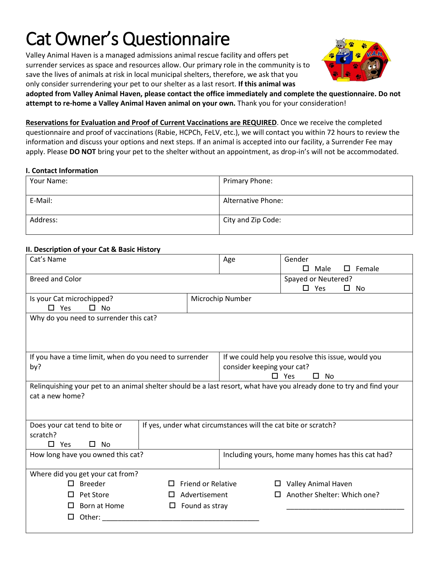# Cat Owner's Questionnaire

Valley Animal Haven is a managed admissions animal rescue facility and offers pet surrender services as space and resources allow. Our primary role in the community is to save the lives of animals at risk in local municipal shelters, therefore, we ask that you only consider surrendering your pet to our shelter as a last resort. **If this animal was** 



**adopted from Valley Animal Haven, please contact the office immediately and complete the questionnaire. Do not attempt to re-home a Valley Animal Haven animal on your own.** Thank you for your consideration!

**Reservations for Evaluation and Proof of Current Vaccinations are REQUIRED**. Once we receive the completed questionnaire and proof of vaccinations (Rabie, HCPCh, FeLV, etc.), we will contact you within 72 hours to review the information and discuss your options and next steps. If an animal is accepted into our facility, a Surrender Fee may apply. Please **DO NOT** bring your pet to the shelter without an appointment, as drop-in's will not be accommodated.

#### **I. Contact Information**

| Your Name: | Primary Phone:            |
|------------|---------------------------|
| E-Mail:    | <b>Alternative Phone:</b> |
| Address:   | City and Zip Code:        |

## **II. Description of your Cat & Basic History**

| Cat's Name                                                                                                           |                           | Age                                                | Gender<br>Male<br>П        | $\square$ Female                                   |  |  |
|----------------------------------------------------------------------------------------------------------------------|---------------------------|----------------------------------------------------|----------------------------|----------------------------------------------------|--|--|
| <b>Breed and Color</b>                                                                                               |                           |                                                    | Spayed or Neutered?        |                                                    |  |  |
|                                                                                                                      |                           |                                                    | $\square$ Yes              | No<br>ப                                            |  |  |
| Is your Cat microchipped?                                                                                            |                           | Microchip Number                                   |                            |                                                    |  |  |
| $\square$ No<br>$\Box$ Yes                                                                                           |                           |                                                    |                            |                                                    |  |  |
| Why do you need to surrender this cat?                                                                               |                           |                                                    |                            |                                                    |  |  |
|                                                                                                                      |                           |                                                    |                            |                                                    |  |  |
|                                                                                                                      |                           |                                                    |                            |                                                    |  |  |
| If you have a time limit, when do you need to surrender                                                              |                           | If we could help you resolve this issue, would you |                            |                                                    |  |  |
| by?                                                                                                                  |                           | consider keeping your cat?                         |                            |                                                    |  |  |
|                                                                                                                      |                           | $\square$ Yes<br>$\Box$<br>No                      |                            |                                                    |  |  |
| Relinquishing your pet to an animal shelter should be a last resort, what have you already done to try and find your |                           |                                                    |                            |                                                    |  |  |
| cat a new home?                                                                                                      |                           |                                                    |                            |                                                    |  |  |
|                                                                                                                      |                           |                                                    |                            |                                                    |  |  |
|                                                                                                                      |                           |                                                    |                            |                                                    |  |  |
| Does your cat tend to bite or<br>If yes, under what circumstances will the cat bite or scratch?<br>scratch?          |                           |                                                    |                            |                                                    |  |  |
| Yes<br>$\square$ No<br>П.                                                                                            |                           |                                                    |                            |                                                    |  |  |
| How long have you owned this cat?                                                                                    |                           |                                                    |                            | Including yours, home many homes has this cat had? |  |  |
|                                                                                                                      |                           |                                                    |                            |                                                    |  |  |
| Where did you get your cat from?                                                                                     |                           |                                                    |                            |                                                    |  |  |
| <b>Breeder</b><br>П                                                                                                  | <b>Friend or Relative</b> |                                                    | <b>Valley Animal Haven</b> |                                                    |  |  |
| Pet Store<br><u> 1 I</u><br>LΙ                                                                                       | Advertisement             |                                                    |                            | Another Shelter: Which one?                        |  |  |
| Born at Home<br>□<br>$\mathbf{L}$                                                                                    | Found as stray            |                                                    |                            |                                                    |  |  |
| Other:<br>□                                                                                                          |                           |                                                    |                            |                                                    |  |  |
|                                                                                                                      |                           |                                                    |                            |                                                    |  |  |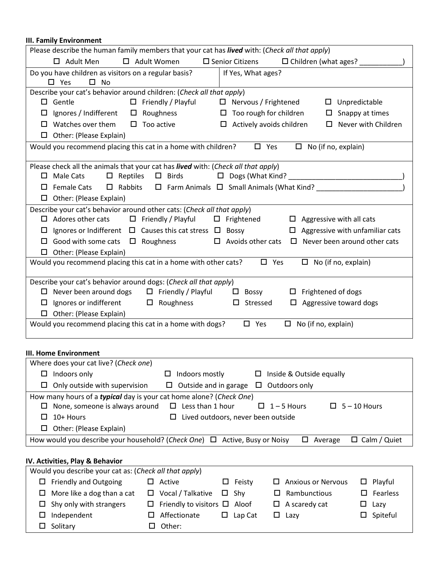## **III. Family Environment**

| □ Adult Women<br>$\square$ Senior Citizens<br>$\Box$ Children (what ages?<br>$\Box$ Adult Men<br>Do you have children as visitors on a regular basis?<br>If Yes, What ages?<br>$\square$ Yes<br>$\square$ No<br>Describe your cat's behavior around children: (Check all that apply)<br>$\Box$ Gentle<br>$\Box$ Friendly / Playful<br>□ Nervous / Frightened<br>$\square$ Unpredictable<br>$\square$ Roughness<br>$\Box$ Too rough for children<br>$\square$ Snappy at times<br>$\Box$ Ignores / Indifferent<br>$\Box$ Watches over them<br>$\Box$ Too active<br>Never with Children<br>$\Box$ Actively avoids children<br>$\Box$<br>$\Box$ Other: (Please Explain)<br>Would you recommend placing this cat in a home with children?<br>$\square$ Yes<br>$\Box$ No (if no, explain)<br>Please check all the animals that your cat has lived with: (Check all that apply)<br>$\Box$ Male Cats<br>$\Box$ Reptiles $\Box$ Birds<br>$\Box$ Rabbits $\Box$ Farm Animals $\Box$ Small Animals (What Kind? ____<br>$\square$ Female Cats<br>$\Box$ Other: (Please Explain)<br>Describe your cat's behavior around other cats: (Check all that apply)<br>$\Box$ Friendly / Playful<br>$\Box$ Adores other cats<br>$\Box$ Frightened<br>$\Box$ Aggressive with all cats<br>Ignores or Indifferent $\Box$ Causes this cat stress $\Box$ Bossy<br>$\Box$ Aggressive with unfamiliar cats<br>$\Box$<br>Good with some cats $\Box$ Roughness $\Box$ Avoids other cats<br>$\Box$ Never been around other cats<br>$\Box$<br>$\Box$ Other: (Please Explain)<br>Would you recommend placing this cat in a home with other cats?<br>$\square$ Yes<br>No (if no, explain)<br>$\Box$<br>Describe your cat's behavior around dogs: (Check all that apply)<br>$\Box$ Never been around dogs $\Box$ Friendly / Playful<br>$\Box$ Bossy<br>$\Box$ Frightened of dogs<br>$\Box$ Ignores or indifferent $\Box$ Roughness<br>Aggressive toward dogs<br>$\square$ Stressed<br>$\Box$<br>$\Box$ Other: (Please Explain)<br>Would you recommend placing this cat in a home with dogs?<br>$\square$ Yes<br>$\Box$ No (if no, explain)<br>Where does your cat live? (Check one)<br>Indoors only<br>$\Box$ Indoors mostly<br>Inside & Outside equally<br>ப<br>ш<br>Only outside with supervision<br>Outside and in garage<br>Outdoors only<br>□.<br>□<br>$\Box$<br>How many hours of a typical day is your cat home alone? (Check One)<br>$\Box$ Less than 1 hour<br>$\Box$ None, someone is always around<br>$1 - 5$ Hours<br>$5 - 10$ Hours<br>ப<br>ப<br>10+ Hours<br>Lived outdoors, never been outside<br>□<br>ப<br>Other: (Please Explain)<br>$\Box$<br>How would you describe your household? (Check One) $\Box$ Active, Busy or Noisy<br>$\Box$ Calm / Quiet<br>$\Box$ Average | Please describe the human family members that your cat has lived with: (Check all that apply) |  |  |  |  |
|------------------------------------------------------------------------------------------------------------------------------------------------------------------------------------------------------------------------------------------------------------------------------------------------------------------------------------------------------------------------------------------------------------------------------------------------------------------------------------------------------------------------------------------------------------------------------------------------------------------------------------------------------------------------------------------------------------------------------------------------------------------------------------------------------------------------------------------------------------------------------------------------------------------------------------------------------------------------------------------------------------------------------------------------------------------------------------------------------------------------------------------------------------------------------------------------------------------------------------------------------------------------------------------------------------------------------------------------------------------------------------------------------------------------------------------------------------------------------------------------------------------------------------------------------------------------------------------------------------------------------------------------------------------------------------------------------------------------------------------------------------------------------------------------------------------------------------------------------------------------------------------------------------------------------------------------------------------------------------------------------------------------------------------------------------------------------------------------------------------------------------------------------------------------------------------------------------------------------------------------------------------------------------------------------------------------------------------------------------------------------------------------------------------------------------------------------------------------------------------------------------------------------------------------------------------------------------------------------------------------------------------------------------------------------------------------------------------------------------------------------|-----------------------------------------------------------------------------------------------|--|--|--|--|
| <b>III. Home Environment</b>                                                                                                                                                                                                                                                                                                                                                                                                                                                                                                                                                                                                                                                                                                                                                                                                                                                                                                                                                                                                                                                                                                                                                                                                                                                                                                                                                                                                                                                                                                                                                                                                                                                                                                                                                                                                                                                                                                                                                                                                                                                                                                                                                                                                                                                                                                                                                                                                                                                                                                                                                                                                                                                                                                                         |                                                                                               |  |  |  |  |
|                                                                                                                                                                                                                                                                                                                                                                                                                                                                                                                                                                                                                                                                                                                                                                                                                                                                                                                                                                                                                                                                                                                                                                                                                                                                                                                                                                                                                                                                                                                                                                                                                                                                                                                                                                                                                                                                                                                                                                                                                                                                                                                                                                                                                                                                                                                                                                                                                                                                                                                                                                                                                                                                                                                                                      |                                                                                               |  |  |  |  |
|                                                                                                                                                                                                                                                                                                                                                                                                                                                                                                                                                                                                                                                                                                                                                                                                                                                                                                                                                                                                                                                                                                                                                                                                                                                                                                                                                                                                                                                                                                                                                                                                                                                                                                                                                                                                                                                                                                                                                                                                                                                                                                                                                                                                                                                                                                                                                                                                                                                                                                                                                                                                                                                                                                                                                      |                                                                                               |  |  |  |  |
|                                                                                                                                                                                                                                                                                                                                                                                                                                                                                                                                                                                                                                                                                                                                                                                                                                                                                                                                                                                                                                                                                                                                                                                                                                                                                                                                                                                                                                                                                                                                                                                                                                                                                                                                                                                                                                                                                                                                                                                                                                                                                                                                                                                                                                                                                                                                                                                                                                                                                                                                                                                                                                                                                                                                                      |                                                                                               |  |  |  |  |
|                                                                                                                                                                                                                                                                                                                                                                                                                                                                                                                                                                                                                                                                                                                                                                                                                                                                                                                                                                                                                                                                                                                                                                                                                                                                                                                                                                                                                                                                                                                                                                                                                                                                                                                                                                                                                                                                                                                                                                                                                                                                                                                                                                                                                                                                                                                                                                                                                                                                                                                                                                                                                                                                                                                                                      |                                                                                               |  |  |  |  |
|                                                                                                                                                                                                                                                                                                                                                                                                                                                                                                                                                                                                                                                                                                                                                                                                                                                                                                                                                                                                                                                                                                                                                                                                                                                                                                                                                                                                                                                                                                                                                                                                                                                                                                                                                                                                                                                                                                                                                                                                                                                                                                                                                                                                                                                                                                                                                                                                                                                                                                                                                                                                                                                                                                                                                      |                                                                                               |  |  |  |  |
|                                                                                                                                                                                                                                                                                                                                                                                                                                                                                                                                                                                                                                                                                                                                                                                                                                                                                                                                                                                                                                                                                                                                                                                                                                                                                                                                                                                                                                                                                                                                                                                                                                                                                                                                                                                                                                                                                                                                                                                                                                                                                                                                                                                                                                                                                                                                                                                                                                                                                                                                                                                                                                                                                                                                                      |                                                                                               |  |  |  |  |
|                                                                                                                                                                                                                                                                                                                                                                                                                                                                                                                                                                                                                                                                                                                                                                                                                                                                                                                                                                                                                                                                                                                                                                                                                                                                                                                                                                                                                                                                                                                                                                                                                                                                                                                                                                                                                                                                                                                                                                                                                                                                                                                                                                                                                                                                                                                                                                                                                                                                                                                                                                                                                                                                                                                                                      |                                                                                               |  |  |  |  |
|                                                                                                                                                                                                                                                                                                                                                                                                                                                                                                                                                                                                                                                                                                                                                                                                                                                                                                                                                                                                                                                                                                                                                                                                                                                                                                                                                                                                                                                                                                                                                                                                                                                                                                                                                                                                                                                                                                                                                                                                                                                                                                                                                                                                                                                                                                                                                                                                                                                                                                                                                                                                                                                                                                                                                      |                                                                                               |  |  |  |  |
|                                                                                                                                                                                                                                                                                                                                                                                                                                                                                                                                                                                                                                                                                                                                                                                                                                                                                                                                                                                                                                                                                                                                                                                                                                                                                                                                                                                                                                                                                                                                                                                                                                                                                                                                                                                                                                                                                                                                                                                                                                                                                                                                                                                                                                                                                                                                                                                                                                                                                                                                                                                                                                                                                                                                                      |                                                                                               |  |  |  |  |
|                                                                                                                                                                                                                                                                                                                                                                                                                                                                                                                                                                                                                                                                                                                                                                                                                                                                                                                                                                                                                                                                                                                                                                                                                                                                                                                                                                                                                                                                                                                                                                                                                                                                                                                                                                                                                                                                                                                                                                                                                                                                                                                                                                                                                                                                                                                                                                                                                                                                                                                                                                                                                                                                                                                                                      |                                                                                               |  |  |  |  |
|                                                                                                                                                                                                                                                                                                                                                                                                                                                                                                                                                                                                                                                                                                                                                                                                                                                                                                                                                                                                                                                                                                                                                                                                                                                                                                                                                                                                                                                                                                                                                                                                                                                                                                                                                                                                                                                                                                                                                                                                                                                                                                                                                                                                                                                                                                                                                                                                                                                                                                                                                                                                                                                                                                                                                      |                                                                                               |  |  |  |  |
|                                                                                                                                                                                                                                                                                                                                                                                                                                                                                                                                                                                                                                                                                                                                                                                                                                                                                                                                                                                                                                                                                                                                                                                                                                                                                                                                                                                                                                                                                                                                                                                                                                                                                                                                                                                                                                                                                                                                                                                                                                                                                                                                                                                                                                                                                                                                                                                                                                                                                                                                                                                                                                                                                                                                                      |                                                                                               |  |  |  |  |
|                                                                                                                                                                                                                                                                                                                                                                                                                                                                                                                                                                                                                                                                                                                                                                                                                                                                                                                                                                                                                                                                                                                                                                                                                                                                                                                                                                                                                                                                                                                                                                                                                                                                                                                                                                                                                                                                                                                                                                                                                                                                                                                                                                                                                                                                                                                                                                                                                                                                                                                                                                                                                                                                                                                                                      |                                                                                               |  |  |  |  |
|                                                                                                                                                                                                                                                                                                                                                                                                                                                                                                                                                                                                                                                                                                                                                                                                                                                                                                                                                                                                                                                                                                                                                                                                                                                                                                                                                                                                                                                                                                                                                                                                                                                                                                                                                                                                                                                                                                                                                                                                                                                                                                                                                                                                                                                                                                                                                                                                                                                                                                                                                                                                                                                                                                                                                      |                                                                                               |  |  |  |  |
|                                                                                                                                                                                                                                                                                                                                                                                                                                                                                                                                                                                                                                                                                                                                                                                                                                                                                                                                                                                                                                                                                                                                                                                                                                                                                                                                                                                                                                                                                                                                                                                                                                                                                                                                                                                                                                                                                                                                                                                                                                                                                                                                                                                                                                                                                                                                                                                                                                                                                                                                                                                                                                                                                                                                                      |                                                                                               |  |  |  |  |
|                                                                                                                                                                                                                                                                                                                                                                                                                                                                                                                                                                                                                                                                                                                                                                                                                                                                                                                                                                                                                                                                                                                                                                                                                                                                                                                                                                                                                                                                                                                                                                                                                                                                                                                                                                                                                                                                                                                                                                                                                                                                                                                                                                                                                                                                                                                                                                                                                                                                                                                                                                                                                                                                                                                                                      |                                                                                               |  |  |  |  |
|                                                                                                                                                                                                                                                                                                                                                                                                                                                                                                                                                                                                                                                                                                                                                                                                                                                                                                                                                                                                                                                                                                                                                                                                                                                                                                                                                                                                                                                                                                                                                                                                                                                                                                                                                                                                                                                                                                                                                                                                                                                                                                                                                                                                                                                                                                                                                                                                                                                                                                                                                                                                                                                                                                                                                      |                                                                                               |  |  |  |  |
|                                                                                                                                                                                                                                                                                                                                                                                                                                                                                                                                                                                                                                                                                                                                                                                                                                                                                                                                                                                                                                                                                                                                                                                                                                                                                                                                                                                                                                                                                                                                                                                                                                                                                                                                                                                                                                                                                                                                                                                                                                                                                                                                                                                                                                                                                                                                                                                                                                                                                                                                                                                                                                                                                                                                                      |                                                                                               |  |  |  |  |
|                                                                                                                                                                                                                                                                                                                                                                                                                                                                                                                                                                                                                                                                                                                                                                                                                                                                                                                                                                                                                                                                                                                                                                                                                                                                                                                                                                                                                                                                                                                                                                                                                                                                                                                                                                                                                                                                                                                                                                                                                                                                                                                                                                                                                                                                                                                                                                                                                                                                                                                                                                                                                                                                                                                                                      |                                                                                               |  |  |  |  |
|                                                                                                                                                                                                                                                                                                                                                                                                                                                                                                                                                                                                                                                                                                                                                                                                                                                                                                                                                                                                                                                                                                                                                                                                                                                                                                                                                                                                                                                                                                                                                                                                                                                                                                                                                                                                                                                                                                                                                                                                                                                                                                                                                                                                                                                                                                                                                                                                                                                                                                                                                                                                                                                                                                                                                      |                                                                                               |  |  |  |  |
|                                                                                                                                                                                                                                                                                                                                                                                                                                                                                                                                                                                                                                                                                                                                                                                                                                                                                                                                                                                                                                                                                                                                                                                                                                                                                                                                                                                                                                                                                                                                                                                                                                                                                                                                                                                                                                                                                                                                                                                                                                                                                                                                                                                                                                                                                                                                                                                                                                                                                                                                                                                                                                                                                                                                                      |                                                                                               |  |  |  |  |
|                                                                                                                                                                                                                                                                                                                                                                                                                                                                                                                                                                                                                                                                                                                                                                                                                                                                                                                                                                                                                                                                                                                                                                                                                                                                                                                                                                                                                                                                                                                                                                                                                                                                                                                                                                                                                                                                                                                                                                                                                                                                                                                                                                                                                                                                                                                                                                                                                                                                                                                                                                                                                                                                                                                                                      |                                                                                               |  |  |  |  |
|                                                                                                                                                                                                                                                                                                                                                                                                                                                                                                                                                                                                                                                                                                                                                                                                                                                                                                                                                                                                                                                                                                                                                                                                                                                                                                                                                                                                                                                                                                                                                                                                                                                                                                                                                                                                                                                                                                                                                                                                                                                                                                                                                                                                                                                                                                                                                                                                                                                                                                                                                                                                                                                                                                                                                      |                                                                                               |  |  |  |  |
|                                                                                                                                                                                                                                                                                                                                                                                                                                                                                                                                                                                                                                                                                                                                                                                                                                                                                                                                                                                                                                                                                                                                                                                                                                                                                                                                                                                                                                                                                                                                                                                                                                                                                                                                                                                                                                                                                                                                                                                                                                                                                                                                                                                                                                                                                                                                                                                                                                                                                                                                                                                                                                                                                                                                                      |                                                                                               |  |  |  |  |
|                                                                                                                                                                                                                                                                                                                                                                                                                                                                                                                                                                                                                                                                                                                                                                                                                                                                                                                                                                                                                                                                                                                                                                                                                                                                                                                                                                                                                                                                                                                                                                                                                                                                                                                                                                                                                                                                                                                                                                                                                                                                                                                                                                                                                                                                                                                                                                                                                                                                                                                                                                                                                                                                                                                                                      |                                                                                               |  |  |  |  |
|                                                                                                                                                                                                                                                                                                                                                                                                                                                                                                                                                                                                                                                                                                                                                                                                                                                                                                                                                                                                                                                                                                                                                                                                                                                                                                                                                                                                                                                                                                                                                                                                                                                                                                                                                                                                                                                                                                                                                                                                                                                                                                                                                                                                                                                                                                                                                                                                                                                                                                                                                                                                                                                                                                                                                      |                                                                                               |  |  |  |  |
|                                                                                                                                                                                                                                                                                                                                                                                                                                                                                                                                                                                                                                                                                                                                                                                                                                                                                                                                                                                                                                                                                                                                                                                                                                                                                                                                                                                                                                                                                                                                                                                                                                                                                                                                                                                                                                                                                                                                                                                                                                                                                                                                                                                                                                                                                                                                                                                                                                                                                                                                                                                                                                                                                                                                                      |                                                                                               |  |  |  |  |
|                                                                                                                                                                                                                                                                                                                                                                                                                                                                                                                                                                                                                                                                                                                                                                                                                                                                                                                                                                                                                                                                                                                                                                                                                                                                                                                                                                                                                                                                                                                                                                                                                                                                                                                                                                                                                                                                                                                                                                                                                                                                                                                                                                                                                                                                                                                                                                                                                                                                                                                                                                                                                                                                                                                                                      |                                                                                               |  |  |  |  |
|                                                                                                                                                                                                                                                                                                                                                                                                                                                                                                                                                                                                                                                                                                                                                                                                                                                                                                                                                                                                                                                                                                                                                                                                                                                                                                                                                                                                                                                                                                                                                                                                                                                                                                                                                                                                                                                                                                                                                                                                                                                                                                                                                                                                                                                                                                                                                                                                                                                                                                                                                                                                                                                                                                                                                      |                                                                                               |  |  |  |  |
|                                                                                                                                                                                                                                                                                                                                                                                                                                                                                                                                                                                                                                                                                                                                                                                                                                                                                                                                                                                                                                                                                                                                                                                                                                                                                                                                                                                                                                                                                                                                                                                                                                                                                                                                                                                                                                                                                                                                                                                                                                                                                                                                                                                                                                                                                                                                                                                                                                                                                                                                                                                                                                                                                                                                                      |                                                                                               |  |  |  |  |
|                                                                                                                                                                                                                                                                                                                                                                                                                                                                                                                                                                                                                                                                                                                                                                                                                                                                                                                                                                                                                                                                                                                                                                                                                                                                                                                                                                                                                                                                                                                                                                                                                                                                                                                                                                                                                                                                                                                                                                                                                                                                                                                                                                                                                                                                                                                                                                                                                                                                                                                                                                                                                                                                                                                                                      |                                                                                               |  |  |  |  |
| (1)                                                                                                                                                                                                                                                                                                                                                                                                                                                                                                                                                                                                                                                                                                                                                                                                                                                                                                                                                                                                                                                                                                                                                                                                                                                                                                                                                                                                                                                                                                                                                                                                                                                                                                                                                                                                                                                                                                                                                                                                                                                                                                                                                                                                                                                                                                                                                                                                                                                                                                                                                                                                                                                                                                                                                  | IV. Activities, Play & Behavior                                                               |  |  |  |  |

|        | Would you describe your cat as: (Check all that apply) |                                          |                |   |                           |                    |
|--------|--------------------------------------------------------|------------------------------------------|----------------|---|---------------------------|--------------------|
|        | $\Box$ Friendly and Outgoing                           | Active                                   | $\Box$ Feisty  |   | $\Box$ Anxious or Nervous | $\Box$ Playful     |
|        | $\Box$ More like a dog than a cat                      | $\Box$ Vocal / Talkative                 | □ Shv          |   | $\Box$ Rambunctious       | $\Box$ Fearless    |
|        | $\Box$ Shy only with strangers                         | $\Box$ Friendly to visitors $\Box$ Aloof |                |   | $\Box$ A scaredy cat      | $\Box$ Lazy        |
| □      | Independent                                            | Affectionate                             | $\Box$ Lap Cat | □ | Lazv                      | $\square$ Spiteful |
| $\Box$ | Solitary                                               | $\square$ Other:                         |                |   |                           |                    |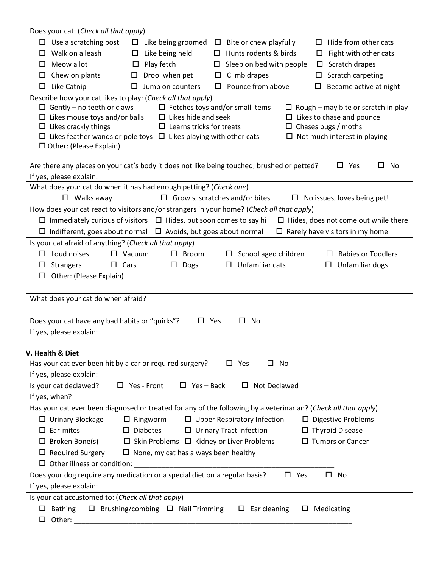| Does your cat: (Check all that apply)                                         |                                                      |                                                                                                                |                                             |  |  |  |
|-------------------------------------------------------------------------------|------------------------------------------------------|----------------------------------------------------------------------------------------------------------------|---------------------------------------------|--|--|--|
| $\Box$ Use a scratching post                                                  | Like being groomed<br>$\Box$                         | Bite or chew playfully<br>$\Box$                                                                               | Hide from other cats<br>ப                   |  |  |  |
| Walk on a leash<br>$\Box$                                                     | Like being held<br>□                                 | Hunts rodents & birds<br>$\Box$                                                                                | Fight with other cats<br>$\Box$             |  |  |  |
| Meow a lot<br>ப                                                               | Play fetch<br>Ц                                      | Sleep on bed with people<br>□                                                                                  | Scratch drapes<br>0                         |  |  |  |
| Chew on plants<br>ц                                                           | Drool when pet<br>□                                  | Climb drapes<br>□                                                                                              | Scratch carpeting<br>$\Box$                 |  |  |  |
| Like Catnip<br>□                                                              | Jump on counters<br>□                                | Pounce from above<br>□                                                                                         | Become active at night<br>□                 |  |  |  |
| Describe how your cat likes to play: (Check all that apply)                   |                                                      |                                                                                                                |                                             |  |  |  |
| $\Box$ Gently - no teeth or claws                                             |                                                      | $\Box$ Fetches toys and/or small items                                                                         | $\Box$ Rough – may bite or scratch in play  |  |  |  |
| $\Box$ Likes mouse toys and/or balls                                          | $\Box$ Likes hide and seek                           |                                                                                                                | $\Box$ Likes to chase and pounce            |  |  |  |
| $\Box$ Likes crackly things                                                   | $\Box$ Learns tricks for treats                      |                                                                                                                | $\Box$ Chases bugs / moths                  |  |  |  |
| $\Box$ Likes feather wands or pole toys $\Box$ Likes playing with other cats  |                                                      |                                                                                                                | $\Box$ Not much interest in playing         |  |  |  |
| $\Box$ Other: (Please Explain)                                                |                                                      |                                                                                                                |                                             |  |  |  |
|                                                                               |                                                      | Are there any places on your cat's body it does not like being touched, brushed or petted?                     | $\square$ Yes<br>$\square$ No               |  |  |  |
| If yes, please explain:                                                       |                                                      |                                                                                                                |                                             |  |  |  |
| What does your cat do when it has had enough petting? (Check one)             |                                                      |                                                                                                                |                                             |  |  |  |
| $\Box$ Walks away                                                             |                                                      | $\Box$ Growls, scratches and/or bites                                                                          | $\Box$ No issues, loves being pet!          |  |  |  |
|                                                                               |                                                      | How does your cat react to visitors and/or strangers in your home? (Check all that apply)                      |                                             |  |  |  |
| $\Box$ Immediately curious of visitors $\Box$ Hides, but soon comes to say hi |                                                      |                                                                                                                | $\Box$ Hides, does not come out while there |  |  |  |
| $\Box$ Indifferent, goes about normal $\Box$ Avoids, but goes about normal    |                                                      |                                                                                                                | $\Box$ Rarely have visitors in my home      |  |  |  |
| Is your cat afraid of anything? (Check all that apply)                        |                                                      |                                                                                                                |                                             |  |  |  |
| Loud noises<br>ப                                                              | $\Box$ Vacuum<br>$\Box$ Broom                        | School aged children                                                                                           | <b>Babies or Toddlers</b>                   |  |  |  |
| $\square$ Cars<br><b>Strangers</b><br>ப                                       | $\square$ Dogs                                       | Unfamiliar cats<br>□                                                                                           | Unfamiliar dogs<br>0                        |  |  |  |
| Other: (Please Explain)<br>□                                                  |                                                      |                                                                                                                |                                             |  |  |  |
|                                                                               |                                                      |                                                                                                                |                                             |  |  |  |
| What does your cat do when afraid?                                            |                                                      |                                                                                                                |                                             |  |  |  |
|                                                                               |                                                      |                                                                                                                |                                             |  |  |  |
| Does your cat have any bad habits or "quirks"?                                | $\square$ Yes                                        | $\Box$<br><b>No</b>                                                                                            |                                             |  |  |  |
| If yes, please explain:                                                       |                                                      |                                                                                                                |                                             |  |  |  |
|                                                                               |                                                      |                                                                                                                |                                             |  |  |  |
| V. Health & Diet                                                              |                                                      |                                                                                                                |                                             |  |  |  |
| Has your cat ever been hit by a car or required surgery?                      |                                                      | $\Box$ Yes<br>$\Box$<br>No                                                                                     |                                             |  |  |  |
| If yes, please explain:                                                       |                                                      |                                                                                                                |                                             |  |  |  |
| Is your cat declawed?                                                         | $\Box$ Yes - Back<br>$\Box$ Yes - Front              | $\Box$ Not Declawed                                                                                            |                                             |  |  |  |
| If yes, when?                                                                 |                                                      |                                                                                                                |                                             |  |  |  |
|                                                                               |                                                      | Has your cat ever been diagnosed or treated for any of the following by a veterinarian? (Check all that apply) |                                             |  |  |  |
| $\Box$ Urinary Blockage                                                       | $\Box$ Ringworm                                      | $\Box$ Upper Respiratory Infection                                                                             | $\square$ Digestive Problems                |  |  |  |
| $\square$ Ear-mites                                                           | $\square$ Diabetes                                   | $\Box$ Urinary Tract Infection                                                                                 | $\Box$ Thyroid Disease                      |  |  |  |
| $\Box$ Broken Bone(s)                                                         | $\Box$ Skin Problems $\Box$ Kidney or Liver Problems |                                                                                                                | $\Box$ Tumors or Cancer                     |  |  |  |
| $\Box$ Required Surgery                                                       | $\Box$ None, my cat has always been healthy          |                                                                                                                |                                             |  |  |  |
| $\Box$ Other illness or condition:                                            |                                                      |                                                                                                                |                                             |  |  |  |
| Does your dog require any medication or a special diet on a regular basis?    |                                                      | $\square$ Yes                                                                                                  | $\square$ No                                |  |  |  |
| If yes, please explain:                                                       |                                                      |                                                                                                                |                                             |  |  |  |
| Is your cat accustomed to: (Check all that apply)                             |                                                      |                                                                                                                |                                             |  |  |  |
| <b>Bathing</b><br>ப                                                           | $\Box$ Brushing/combing $\Box$ Nail Trimming         | Ear cleaning<br>ц<br>ш                                                                                         | Medicating                                  |  |  |  |
| Other:<br>◻                                                                   |                                                      |                                                                                                                |                                             |  |  |  |